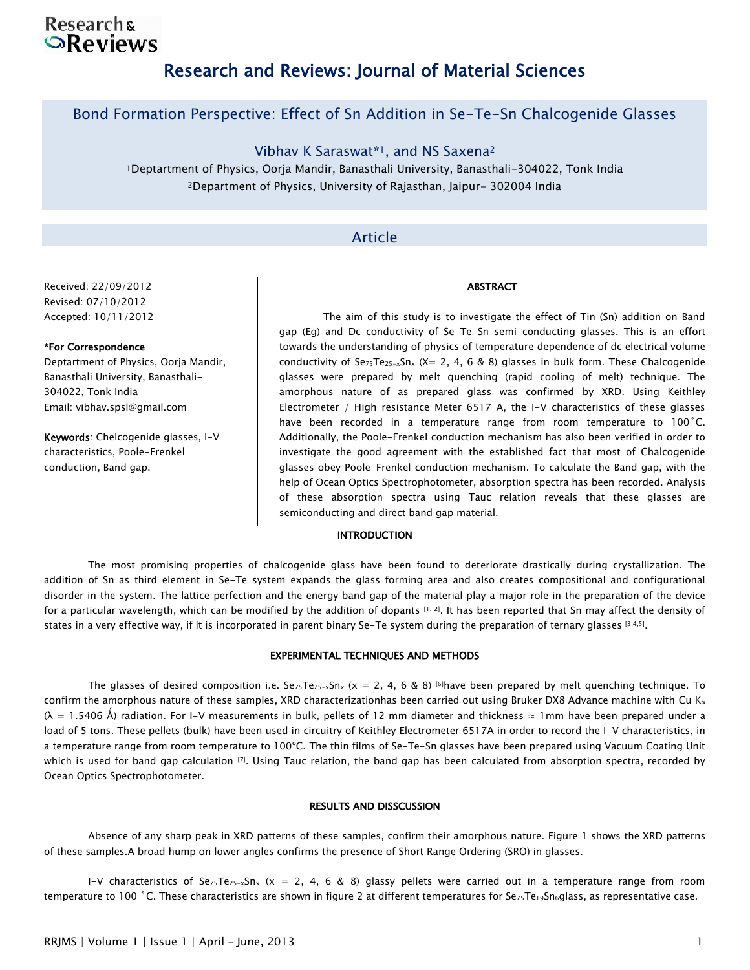## **Researchs**  $\odot$ Reviews

# Research and Reviews: Journal of Material Sciences

### Bond Formation Perspective: Effect of Sn Addition in Se-Te-Sn Chalcogenide Glasses

Vibhav K Saraswat\*1, and NS Saxena<sup>2</sup>

<sup>1</sup>Deptartment of Physics, Oorja Mandir, Banasthali University, Banasthali-304022, Tonk India <sup>2</sup>Department of Physics, University of Rajasthan, Jaipur- 302004 India

### Article

### Received: 22/09/2012 Revised: 07/10/2012 Accepted: 10/11/2012

### \*For Correspondence

Deptartment of Physics, Oorja Mandir, Banasthali University, Banasthali-304022, Tonk India Email: vibhav.spsl@gmail.com

Keywords: Chelcogenide glasses, I-V characteristics, Poole-Frenkel conduction, Band gap.

The aim of this study is to investigate the effect of Tin (Sn) addition on Band gap (Eg) and Dc conductivity of Se-Te-Sn semi-conducting glasses. This is an effort towards the understanding of physics of temperature dependence of dc electrical volume conductivity of  $Se_{75}Te_{25-x}Sn_{x}$  (X= 2, 4, 6 & 8) glasses in bulk form. These Chalcogenide glasses were prepared by melt quenching (rapid cooling of melt) technique. The amorphous nature of as prepared glass was confirmed by XRD. Using Keithley Electrometer / High resistance Meter 6517 A, the I-V characteristics of these glasses have been recorded in a temperature range from room temperature to 100°C. Additionally, the Poole-Frenkel conduction mechanism has also been verified in order to investigate the good agreement with the established fact that most of Chalcogenide glasses obey Poole-Frenkel conduction mechanism. To calculate the Band gap, with the help of Ocean Optics Spectrophotometer, absorption spectra has been recorded. Analysis of these absorption spectra using Tauc relation reveals that these glasses are semiconducting and direct band gap material.

ABSTRACT

### **INTRODUCTION**

The most promising properties of chalcogenide glass have been found to deteriorate drastically during crystallization. The addition of Sn as third element in Se-Te system expands the glass forming area and also creates compositional and configurational disorder in the system. The lattice perfection and the energy band gap of the material play a major role in the preparation of the device for a particular wavelength, which can be modified by the addition of dopants  $[1, 2]$ . It has been reported that Sn may affect the density of states in a very effective way, if it is incorporated in parent binary Se-Te system during the preparation of ternary glasses [3,4,5].

#### EXPERIMENTAL TECHNIQUES AND METHODS

The glasses of desired composition i.e. Se<sub>75</sub>Te<sub>25-x</sub>Sn<sub>x</sub> (x = 2, 4, 6 & 8) <sup>[6]</sup>have been prepared by melt quenching technique. To confirm the amorphous nature of these samples, XRD characterizationhas been carried out using Bruker DX8 Advance machine with Cu K<sub> $\alpha$ </sub>  $(\lambda = 1.5406 \text{ Å})$  radiation. For I-V measurements in bulk, pellets of 12 mm diameter and thickness  $\approx 1$ mm have been prepared under a load of 5 tons. These pellets (bulk) have been used in circuitry of Keithley Electrometer 6517A in order to record the I-V characteristics, in a temperature range from room temperature to 100ºC. The thin films of Se-Te-Sn glasses have been prepared using Vacuum Coating Unit which is used for band gap calculation  $^{[7]}$ . Using Tauc relation, the band gap has been calculated from absorption spectra, recorded by Ocean Optics Spectrophotometer.

#### RESULTS AND DISSCUSSION

Absence of any sharp peak in XRD patterns of these samples, confirm their amorphous nature. Figure 1 shows the XRD patterns of these samples.A broad hump on lower angles confirms the presence of Short Range Ordering (SRO) in glasses.

I-V characteristics of Se<sub>75</sub>Te<sub>25-x</sub>Sn<sub>x</sub> (x = 2, 4, 6 & 8) glassy pellets were carried out in a temperature range from room temperature to 100 °C. These characteristics are shown in figure 2 at different temperatures for Se<sub>75</sub>Te<sub>19</sub>Sn<sub>6</sub>glass, as representative case.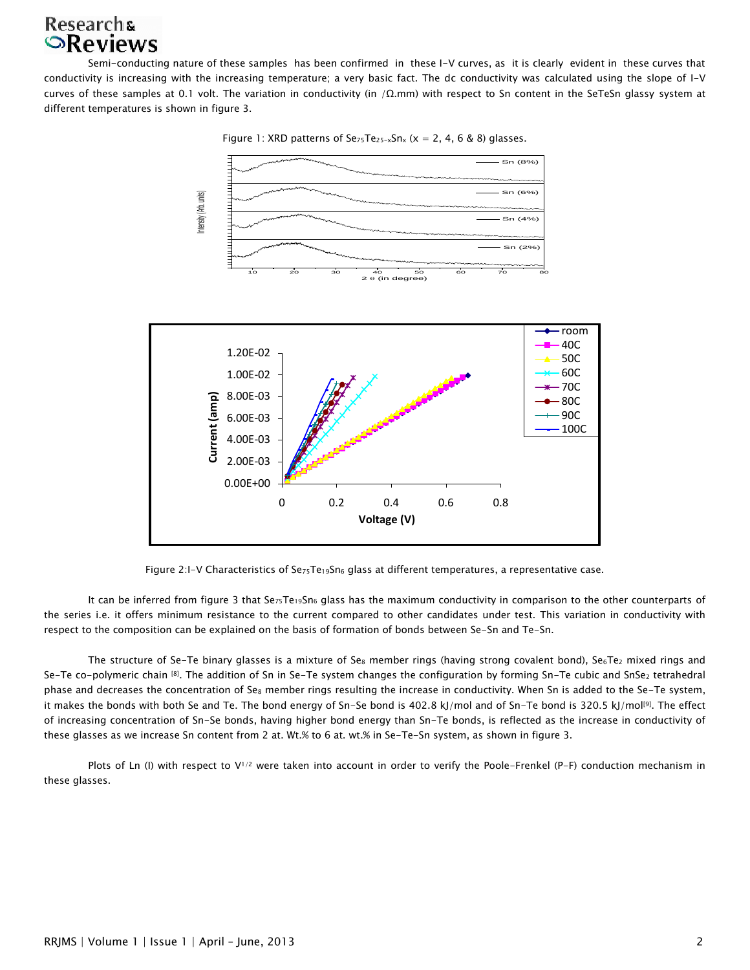# **Researchs SReviews**

Semi-conducting nature of these samples has been confirmed in these I-V curves, as it is clearly evident in these curves that conductivity is increasing with the increasing temperature; a very basic fact. The dc conductivity was calculated using the slope of I-V curves of these samples at 0.1 volt. The variation in conductivity (in /Ω.mm) with respect to Sn content in the SeTeSn glassy system at different temperatures is shown in figure 3.

Figure 1: XRD patterns of  $Se_{75}Te_{25-x}Sn_x$  (x = 2, 4, 6 & 8) glasses.



Figure 2:I-V Characteristics of Se<sub>75</sub>Te<sub>19</sub>Sn<sub>6</sub> glass at different temperatures, a representative case.

It can be inferred from figure 3 that Sez<sub>5</sub>Te<sub>19</sub>Sn<sub>6</sub> glass has the maximum conductivity in comparison to the other counterparts of the series i.e. it offers minimum resistance to the current compared to other candidates under test. This variation in conductivity with respect to the composition can be explained on the basis of formation of bonds between Se-Sn and Te-Sn.

The structure of Se-Te binary glasses is a mixture of Se<sub>8</sub> member rings (having strong covalent bond), Se<sub>6</sub>Te<sub>2</sub> mixed rings and Se-Te co-polymeric chain [8]. The addition of Sn in Se-Te system changes the configuration by forming Sn-Te cubic and SnSe<sub>2</sub> tetrahedral phase and decreases the concentration of Se<sub>8</sub> member rings resulting the increase in conductivity. When Sn is added to the Se-Te system, it makes the bonds with both Se and Te. The bond energy of Sn-Se bond is 402.8 kJ/mol and of Sn-Te bond is 320.5 kJ/mol<sup>[9]</sup>. The effect of increasing concentration of Sn-Se bonds, having higher bond energy than Sn-Te bonds, is reflected as the increase in conductivity of these glasses as we increase Sn content from 2 at. Wt.% to 6 at. wt.% in Se-Te-Sn system, as shown in figure 3.

Plots of Ln (I) with respect to V<sup>1/2</sup> were taken into account in order to verify the Poole-Frenkel (P-F) conduction mechanism in these glasses.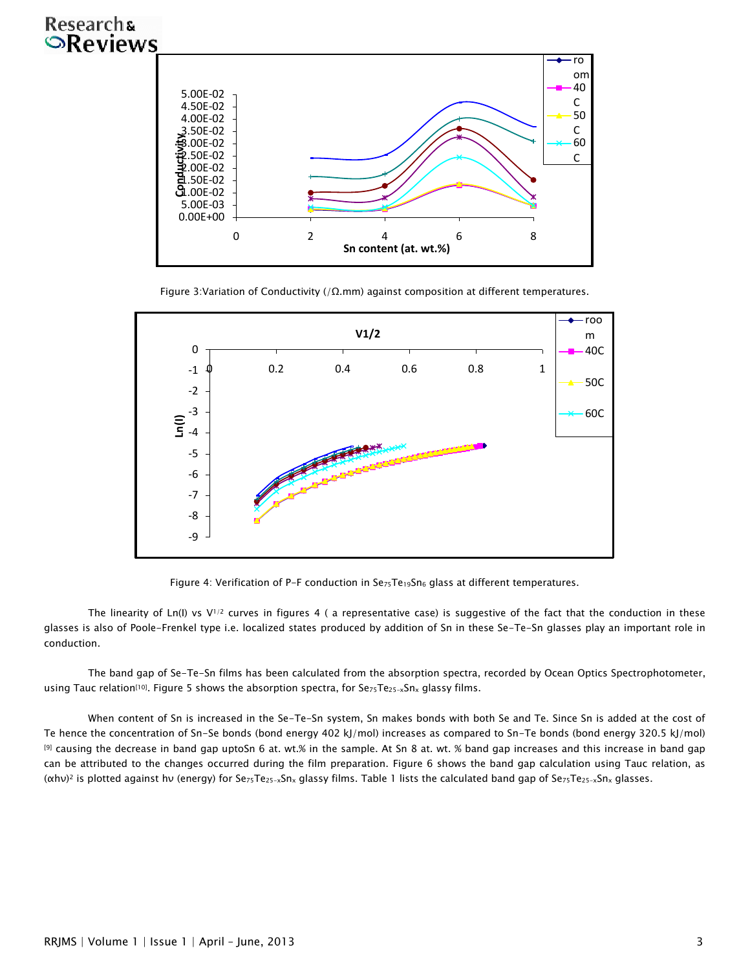# **Researchs OReviews**



Figure 3: Variation of Conductivity (/ $\Omega$ .mm) against composition at different temperatures.



Figure 4: Verification of P-F conduction in Se<sub>75</sub>Te<sub>19</sub>Sn<sub>6</sub> glass at different temperatures.

The linearity of Ln(I) vs V<sup>1/2</sup> curves in figures 4 ( a representative case) is suggestive of the fact that the conduction in these glasses is also of Poole-Frenkel type i.e. localized states produced by addition of Sn in these Se-Te-Sn glasses play an important role in conduction.

The band gap of Se-Te-Sn films has been calculated from the absorption spectra, recorded by Ocean Optics Spectrophotometer, using Tauc relation[10]. Figure 5 shows the absorption spectra, for Se<sub>75</sub>Te<sub>25-x</sub>Sn<sub>x</sub> glassy films.

When content of Sn is increased in the Se-Te-Sn system, Sn makes bonds with both Se and Te. Since Sn is added at the cost of Te hence the concentration of Sn-Se bonds (bond energy 402 kJ/mol) increases as compared to Sn-Te bonds (bond energy 320.5 kJ/mol) [9] causing the decrease in band gap uptoSn 6 at. wt.% in the sample. At Sn 8 at. wt. % band gap increases and this increase in band gap can be attributed to the changes occurred during the film preparation. Figure 6 shows the band gap calculation using Tauc relation, as  $(\alpha h\nu)^2$  is plotted against hv (energy) for Se<sub>75</sub>Te<sub>25-x</sub>Sn<sub>x</sub> glassy films. Table 1 lists the calculated band gap of Se<sub>75</sub>Te<sub>25-x</sub>Sn<sub>x</sub> glasses.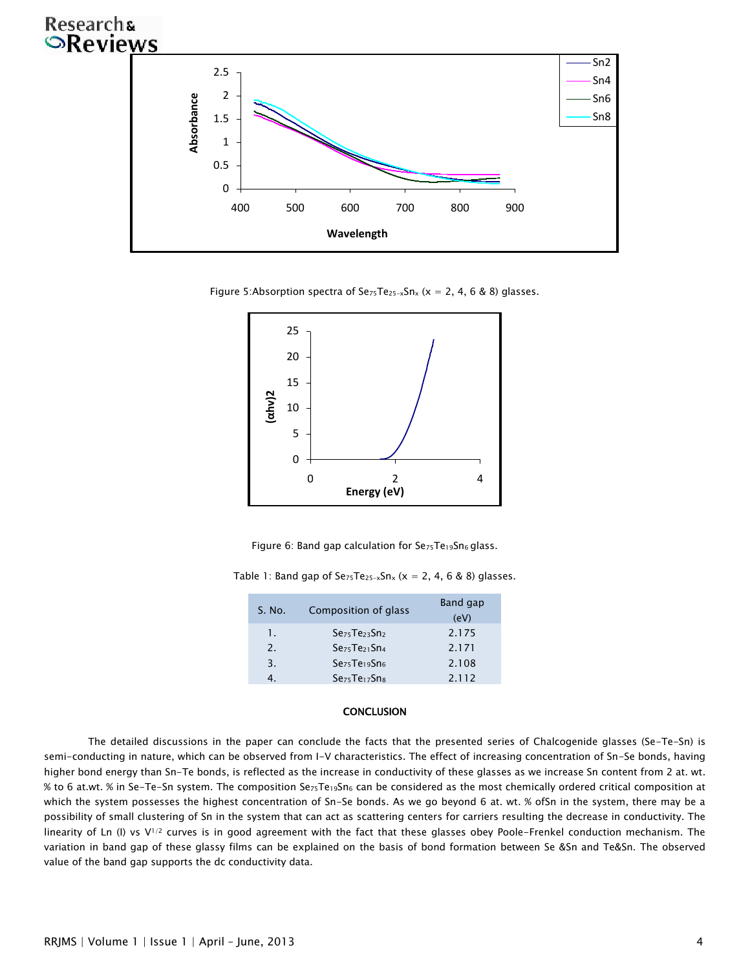## **Researchs SReviews**



Figure 5:Absorption spectra of  $Se_{75}Te_{25-x}Sn_{x}$  (x = 2, 4, 6 & 8) glasses.



Figure 6: Band gap calculation for  $\text{Se}_{75}$ Te<sub>19</sub>Sn<sub>6</sub> glass.

Table 1: Band gap of  $Se_{75}Te_{25-x}Sn_x$  (x = 2, 4, 6 & 8) glasses.

| S. No. | Composition of glass  | Band gap<br>(eV) |
|--------|-----------------------|------------------|
| 1.     | $S\cdot 5T\cdot 23Sn$ | 2.175            |
| 2.     | SezsTe21Sn4           | 2.171            |
| 3.     | SezsTeigSns           | 2.108            |
|        | SezsTeizSns           | 2.112            |

#### **CONCLUSION**

The detailed discussions in the paper can conclude the facts that the presented series of Chalcogenide glasses (Se-Te-Sn) is semi-conducting in nature, which can be observed from I-V characteristics. The effect of increasing concentration of Sn-Se bonds, having higher bond energy than Sn-Te bonds, is reflected as the increase in conductivity of these glasses as we increase Sn content from 2 at. wt. % to 6 at.wt. % in Se-Te-Sn system. The composition SezsTe19Sn6 can be considered as the most chemically ordered critical composition at which the system possesses the highest concentration of Sn-Se bonds. As we go beyond 6 at. wt. % ofSn in the system, there may be a possibility of small clustering of Sn in the system that can act as scattering centers for carriers resulting the decrease in conductivity. The linearity of Ln (I) vs V<sup>1/2</sup> curves is in good agreement with the fact that these glasses obey Poole-Frenkel conduction mechanism. The variation in band gap of these glassy films can be explained on the basis of bond formation between Se &Sn and Te&Sn. The observed value of the band gap supports the dc conductivity data.